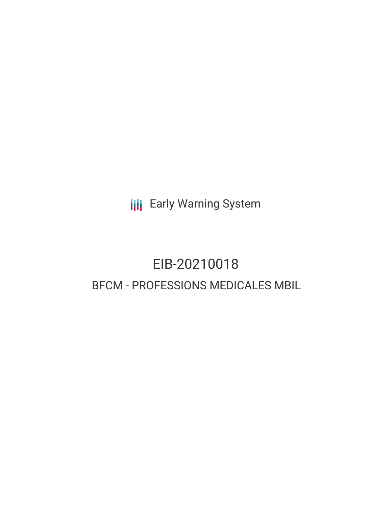**III** Early Warning System

# EIB-20210018 BFCM - PROFESSIONS MEDICALES MBIL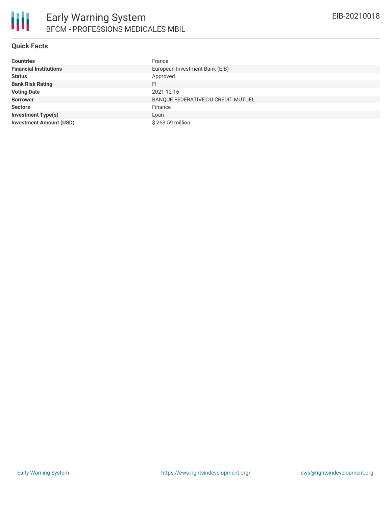

#### **Quick Facts**

| <b>Countries</b>               | France                             |
|--------------------------------|------------------------------------|
| <b>Financial Institutions</b>  | European Investment Bank (EIB)     |
| <b>Status</b>                  | Approved                           |
| <b>Bank Risk Rating</b>        | FI                                 |
| <b>Voting Date</b>             | 2021-12-16                         |
| <b>Borrower</b>                | BANQUE FEDERATIVE DU CREDIT MUTUEL |
| <b>Sectors</b>                 | Finance                            |
| <b>Investment Type(s)</b>      | Loan                               |
| <b>Investment Amount (USD)</b> | \$263.59 million                   |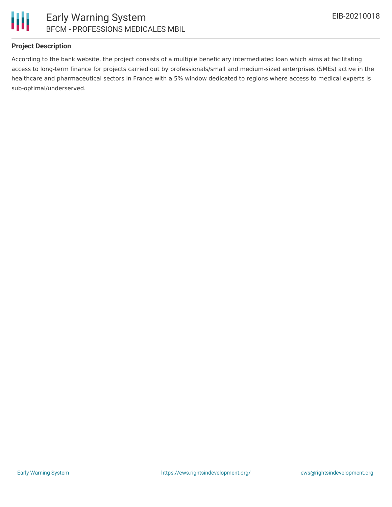

#### **Project Description**

According to the bank website, the project consists of a multiple beneficiary intermediated loan which aims at facilitating access to long-term finance for projects carried out by professionals/small and medium-sized enterprises (SMEs) active in the healthcare and pharmaceutical sectors in France with a 5% window dedicated to regions where access to medical experts is sub-optimal/underserved.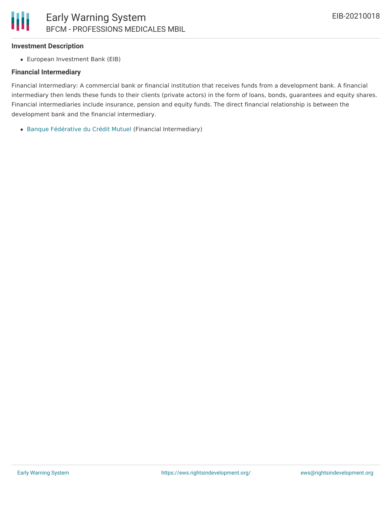#### **Investment Description**

European Investment Bank (EIB)

#### **Financial Intermediary**

Financial Intermediary: A commercial bank or financial institution that receives funds from a development bank. A financial intermediary then lends these funds to their clients (private actors) in the form of loans, bonds, guarantees and equity shares. Financial intermediaries include insurance, pension and equity funds. The direct financial relationship is between the development bank and the financial intermediary.

Banque [Fédérative](file:///actor/553/) du Crédit Mutuel (Financial Intermediary)